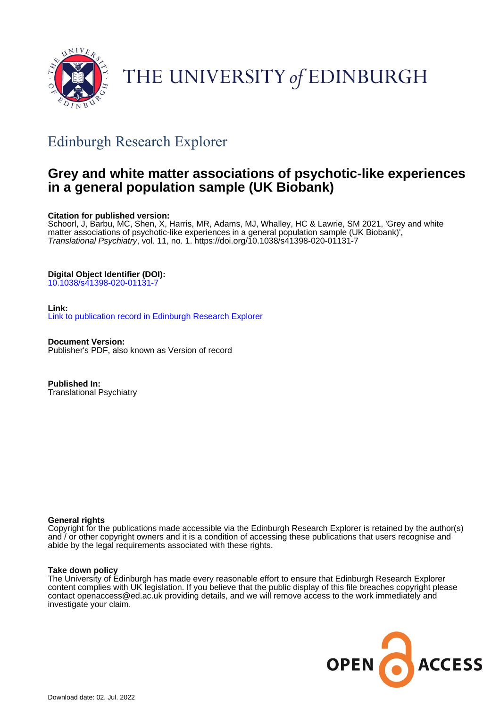

# THE UNIVERSITY of EDINBURGH

## Edinburgh Research Explorer

### **Grey and white matter associations of psychotic-like experiences in a general population sample (UK Biobank)**

#### **Citation for published version:**

Schoorl, J, Barbu, MC, Shen, X, Harris, MR, Adams, MJ, Whalley, HC & Lawrie, SM 2021, 'Grey and white matter associations of psychotic-like experiences in a general population sample (UK Biobank)', Translational Psychiatry, vol. 11, no. 1. <https://doi.org/10.1038/s41398-020-01131-7>

### **Digital Object Identifier (DOI):**

[10.1038/s41398-020-01131-7](https://doi.org/10.1038/s41398-020-01131-7)

#### **Link:**

[Link to publication record in Edinburgh Research Explorer](https://www.research.ed.ac.uk/en/publications/11e4df4a-e1d0-428e-8da4-6b7236627025)

**Document Version:** Publisher's PDF, also known as Version of record

**Published In:** Translational Psychiatry

#### **General rights**

Copyright for the publications made accessible via the Edinburgh Research Explorer is retained by the author(s) and / or other copyright owners and it is a condition of accessing these publications that users recognise and abide by the legal requirements associated with these rights.

#### **Take down policy**

The University of Edinburgh has made every reasonable effort to ensure that Edinburgh Research Explorer content complies with UK legislation. If you believe that the public display of this file breaches copyright please contact openaccess@ed.ac.uk providing details, and we will remove access to the work immediately and investigate your claim.

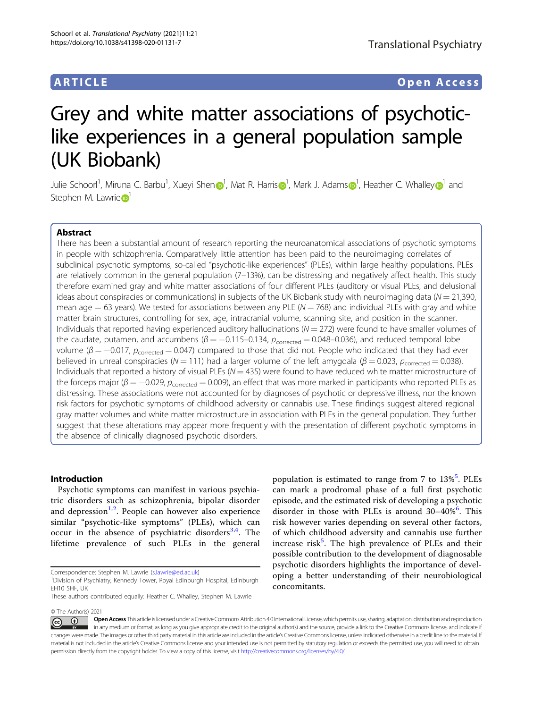population is estimated to range from 7 to 13%<sup>[5](#page-10-0)</sup>. PLEs can mark a prodromal phase of a full first psychotic episode, and the estimated risk of developing a psychotic disorder in those with PLEs is around  $30-40\%$ <sup>[6](#page-10-0)</sup>. This risk however varies depending on several other factors, of which childhood adversity and cannabis use further increase risk<sup>[5](#page-10-0)</sup>. The high prevalence of PLEs and their possible contribution to the development of diagnosable psychotic disorders highlights the importance of developing a better understanding of their neurobiological

### ARTICLE Open Access

# Grey and white matter associations of psychoticlike experiences in a general population sample (UK Biobank)

Julie Schoorl<sup>1</sup>, Miru[n](http://orcid.org/0000-0002-0538-4774)a C. Barbu<sup>[1](http://orcid.org/0000-0002-4505-8869)</[s](http://orcid.org/0000-0002-1135-4141)up>, Xueyi Shen $\bm{\Theta}^1$ , Mat R. Harris $\bm{\Theta}^1$ , Mark J. Adams $\bm{\Theta}^1$ , Heather C. Whalley $\bm{\Theta}^1$  and Stephen M. Lawrie<sup>D</sup>

#### Abstract

There has been a substantial amount of research reporting the neuroanatomical associations of psychotic symptoms in people with schizophrenia. Comparatively little attention has been paid to the neuroimaging correlates of subclinical psychotic symptoms, so-called "psychotic-like experiences" (PLEs), within large healthy populations. PLEs are relatively common in the general population (7–13%), can be distressing and negatively affect health. This study therefore examined gray and white matter associations of four different PLEs (auditory or visual PLEs, and delusional ideas about conspiracies or communications) in subjects of the UK Biobank study with neuroimaging data ( $N = 21,390$ , mean age  $= 63$  years). We tested for associations between any PLE ( $N = 768$ ) and individual PLEs with gray and white matter brain structures, controlling for sex, age, intracranial volume, scanning site, and position in the scanner. Individuals that reported having experienced auditory hallucinations ( $N = 272$ ) were found to have smaller volumes of the caudate, putamen, and accumbens ( $\beta = -0.115-0.134$ ,  $p_{\text{corrected}} = 0.048-0.036$ ), and reduced temporal lobe volume ( $β = -0.017$ ,  $p_{corrected} = 0.047$ ) compared to those that did not. People who indicated that they had ever believed in unreal conspiracies (N = 111) had a larger volume of the left amygdala ( $\beta$  = 0.023,  $p_{\text{corrected}}$  = 0.038). Individuals that reported a history of visual PLEs ( $N = 435$ ) were found to have reduced white matter microstructure of the forceps major ( $\beta = -0.029$ ,  $p_{corrected} = 0.009$ ), an effect that was more marked in participants who reported PLEs as distressing. These associations were not accounted for by diagnoses of psychotic or depressive illness, nor the known risk factors for psychotic symptoms of childhood adversity or cannabis use. These findings suggest altered regional gray matter volumes and white matter microstructure in association with PLEs in the general population. They further suggest that these alterations may appear more frequently with the presentation of different psychotic symptoms in the absence of clinically diagnosed psychotic disorders.

#### Introduction

Psychotic symptoms can manifest in various psychiatric disorders such as schizophrenia, bipolar disorder and depression<sup>[1,2](#page-10-0)</sup>. People can however also experience similar "psychotic-like symptoms" (PLEs), which can occur in the absence of psychiatric disorders<sup>[3](#page-10-0),[4](#page-10-0)</sup>. The lifetime prevalence of such PLEs in the general

© The Author(s) 2021

concomitants.

Correspondence: Stephen M. Lawrie [\(s.lawrie@ed.ac.uk](mailto:s.lawrie@ed.ac.uk)) <sup>1</sup>

<sup>&</sup>lt;sup>1</sup>Division of Psychiatry, Kennedy Tower, Royal Edinburgh Hospital, Edinburgh EH10 5HF, UK

These authors contributed equally: Heather C. Whalley, Stephen M. Lawrie

Open Access This article is licensed under a Creative Commons Attribution 4.0 International License, which permits use, sharing, adaptation, distribution and reproduction (i)  $\left[{\rm (cc)}\right]$ in any medium or format, as long as you give appropriate credit to the original author(s) and the source, provide a link to the Creative Commons license, and indicate if changes were made. The images or other third party material in this article are included in the article's Creative Commons license, unless indicated otherwise in a credit line to the material. If material is not included in the article's Creative Commons license and your intended use is not permitted by statutory regulation or exceeds the permitted use, you will need to obtain permission directly from the copyright holder. To view a copy of this license, visit <http://creativecommons.org/licenses/by/4.0/>.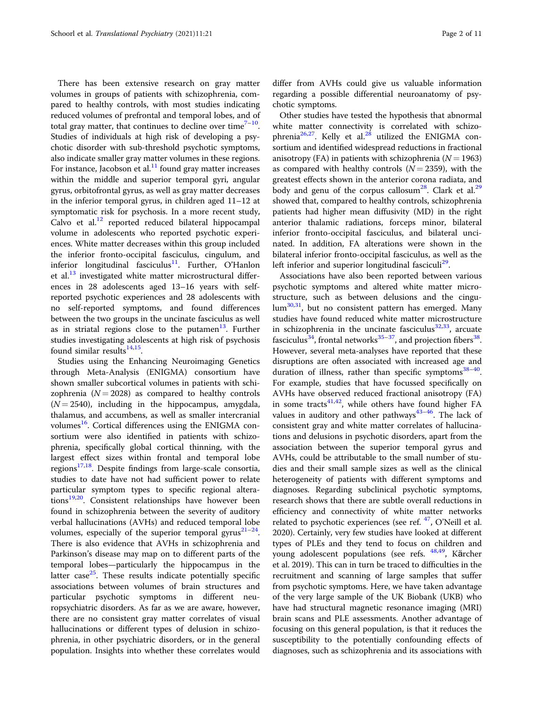There has been extensive research on gray matter volumes in groups of patients with schizophrenia, compared to healthy controls, with most studies indicating reduced volumes of prefrontal and temporal lobes, and of total gray matter, that continues to decline over time $7-10$  $7-10$  $7-10$ . Studies of individuals at high risk of developing a psychotic disorder with sub-threshold psychotic symptoms, also indicate smaller gray matter volumes in these regions. For instance, Jacobson et al. $<sup>11</sup>$  $<sup>11</sup>$  $<sup>11</sup>$  found gray matter increases</sup> within the middle and superior temporal gyri, angular gyrus, orbitofrontal gyrus, as well as gray matter decreases in the inferior temporal gyrus, in children aged 11–12 at symptomatic risk for psychosis. In a more recent study, Calvo et al. $12$  reported reduced bilateral hippocampal volume in adolescents who reported psychotic experiences. White matter decreases within this group included the inferior fronto-occipital fasciculus, cingulum, and inferior longitudinal fasciculus<sup>11</sup>. Further, O'Hanlon et al. $^{13}$  $^{13}$  $^{13}$  investigated white matter microstructural differences in 28 adolescents aged 13–16 years with selfreported psychotic experiences and 28 adolescents with no self-reported symptoms, and found differences between the two groups in the uncinate fasciculus as well as in striatal regions close to the putamen $13$ . Further studies investigating adolescents at high risk of psychosis found similar results $^{14,15}$  $^{14,15}$  $^{14,15}$ .

Studies using the Enhancing Neuroimaging Genetics through Meta-Analysis (ENIGMA) consortium have shown smaller subcortical volumes in patients with schizophrenia ( $N = 2028$ ) as compared to healthy controls  $(N = 2540)$ , including in the hippocampus, amygdala, thalamus, and accumbens, as well as smaller intercranial volumes $^{16}$ . Cortical differences using the ENIGMA consortium were also identified in patients with schizophrenia, specifically global cortical thinning, with the largest effect sizes within frontal and temporal lobe regions $17,18$ . Despite findings from large-scale consortia, studies to date have not had sufficient power to relate particular symptom types to specific regional alterations<sup>19,20</sup>. Consistent relationships have however been found in schizophrenia between the severity of auditory verbal hallucinations (AVHs) and reduced temporal lobe volumes, especially of the superior temporal gyrus $21-24$  $21-24$  $21-24$ . There is also evidence that AVHs in schizophrenia and Parkinson's disease may map on to different parts of the temporal lobes—particularly the hippocampus in the latter case $^{25}$  $^{25}$  $^{25}$ . These results indicate potentially specific associations between volumes of brain structures and particular psychotic symptoms in different neuropsychiatric disorders. As far as we are aware, however, there are no consistent gray matter correlates of visual hallucinations or different types of delusion in schizophrenia, in other psychiatric disorders, or in the general population. Insights into whether these correlates would differ from AVHs could give us valuable information regarding a possible differential neuroanatomy of psychotic symptoms.

Other studies have tested the hypothesis that abnormal white matter connectivity is correlated with schizo-phrenia<sup>26,27</sup>. Kelly et al.<sup>[28](#page-10-0)</sup> utilized the ENIGMA consortium and identified widespread reductions in fractional anisotropy (FA) in patients with schizophrenia ( $N = 1963$ ) as compared with healthy controls  $(N = 2359)$ , with the greatest effects shown in the anterior corona radiata, and body and genu of the corpus callosum<sup>[28](#page-10-0)</sup>. Clark et al.<sup>29</sup> showed that, compared to healthy controls, schizophrenia patients had higher mean diffusivity (MD) in the right anterior thalamic radiations, forceps minor, bilateral inferior fronto-occipital fasciculus, and bilateral uncinated. In addition, FA alterations were shown in the bilateral inferior fronto-occipital fasciculus, as well as the left inferior and superior longitudinal fasciculi<sup>[29](#page-10-0)</sup>.

Associations have also been reported between various psychotic symptoms and altered white matter microstructure, such as between delusions and the cingu-lum<sup>[30](#page-10-0),31</sup>, but no consistent pattern has emerged. Many studies have found reduced white matter microstructure in schizophrenia in the uncinate fasciculus $^{32,33}$  $^{32,33}$  $^{32,33}$  $^{32,33}$  $^{32,33}$ , arcuate fasciculus<sup>[34](#page-10-0)</sup>, frontal networks<sup>35–[37](#page-10-0)</sup>, and projection fibers<sup>[38](#page-10-0)</sup>. However, several meta-analyses have reported that these disruptions are often associated with increased age and duration of illness, rather than specific symptoms $38-40$  $38-40$  $38-40$ . For example, studies that have focussed specifically on AVHs have observed reduced fractional anisotropy (FA) in some tracts $41,42$ , while others have found higher FA values in auditory and other pathways $43-46$  $43-46$  $43-46$ . The lack of consistent gray and white matter correlates of hallucinations and delusions in psychotic disorders, apart from the association between the superior temporal gyrus and AVHs, could be attributable to the small number of studies and their small sample sizes as well as the clinical heterogeneity of patients with different symptoms and diagnoses. Regarding subclinical psychotic symptoms, research shows that there are subtle overall reductions in efficiency and connectivity of white matter networks related to psychotic experiences (see ref.  $47$ , O'Neill et al. 2020). Certainly, very few studies have looked at different types of PLEs and they tend to focus on children and young adolescent populations (see refs. [48,49](#page-11-0), Kӓrcher et al. 2019). This can in turn be traced to difficulties in the recruitment and scanning of large samples that suffer from psychotic symptoms. Here, we have taken advantage of the very large sample of the UK Biobank (UKB) who have had structural magnetic resonance imaging (MRI) brain scans and PLE assessments. Another advantage of focusing on this general population, is that it reduces the susceptibility to the potentially confounding effects of diagnoses, such as schizophrenia and its associations with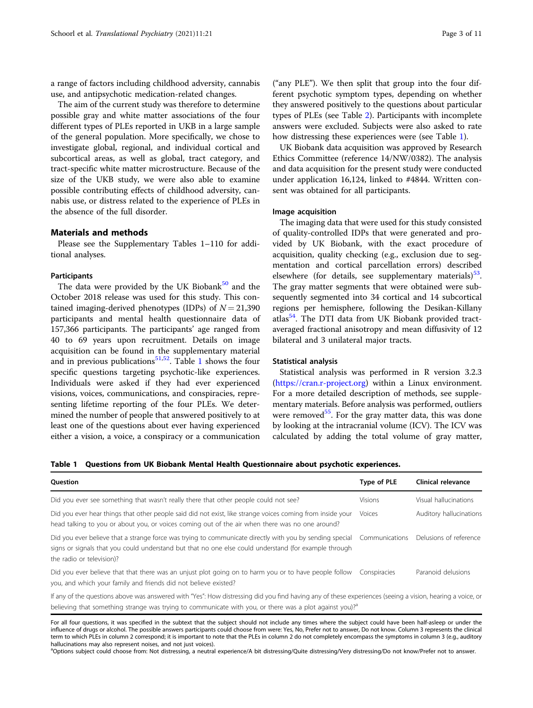<span id="page-3-0"></span>a range of factors including childhood adversity, cannabis use, and antipsychotic medication-related changes.

The aim of the current study was therefore to determine possible gray and white matter associations of the four different types of PLEs reported in UKB in a large sample of the general population. More specifically, we chose to investigate global, regional, and individual cortical and subcortical areas, as well as global, tract category, and tract-specific white matter microstructure. Because of the size of the UKB study, we were also able to examine possible contributing effects of childhood adversity, cannabis use, or distress related to the experience of PLEs in the absence of the full disorder.

#### Materials and methods

Please see the Supplementary Tables 1–110 for additional analyses.

#### **Participants**

The data were provided by the UK Biobank $50$  and the October 2018 release was used for this study. This contained imaging-derived phenotypes (IDPs) of  $N = 21,390$ participants and mental health questionnaire data of 157,366 participants. The participants' age ranged from 40 to 69 years upon recruitment. Details on image acquisition can be found in the supplementary material and in previous publications<sup>51,52</sup>. Table 1 shows the four specific questions targeting psychotic-like experiences. Individuals were asked if they had ever experienced visions, voices, communications, and conspiracies, representing lifetime reporting of the four PLEs. We determined the number of people that answered positively to at least one of the questions about ever having experienced either a vision, a voice, a conspiracy or a communication

("any PLE"). We then split that group into the four different psychotic symptom types, depending on whether they answered positively to the questions about particular types of PLEs (see Table [2\)](#page-4-0). Participants with incomplete answers were excluded. Subjects were also asked to rate how distressing these experiences were (see Table 1).

UK Biobank data acquisition was approved by Research Ethics Committee (reference 14/NW/0382). The analysis and data acquisition for the present study were conducted under application 16,124, linked to #4844. Written consent was obtained for all participants.

#### Image acquisition

The imaging data that were used for this study consisted of quality-controlled IDPs that were generated and provided by UK Biobank, with the exact procedure of acquisition, quality checking (e.g., exclusion due to segmentation and cortical parcellation errors) described elsewhere (for details, see supplementary materials) $<sup>53</sup>$  $<sup>53</sup>$  $<sup>53</sup>$ .</sup> The gray matter segments that were obtained were subsequently segmented into 34 cortical and 14 subcortical regions per hemisphere, following the Desikan-Killany atlas $54$ . The DTI data from UK Biobank provided tractaveraged fractional anisotropy and mean diffusivity of 12 bilateral and 3 unilateral major tracts.

#### Statistical analysis

Statistical analysis was performed in R version 3.2.3 ([https://cran.r-project.org\)](https://cran.r-project.org) within a Linux environment. For a more detailed description of methods, see supplementary materials. Before analysis was performed, outliers were removed<sup>55</sup>. For the gray matter data, this was done by looking at the intracranial volume (ICV). The ICV was calculated by adding the total volume of gray matter,

Table 1 Questions from UK Biobank Mental Health Questionnaire about psychotic experiences.

| Question                                                                                                                                                                                                                                                      | Type of PLE    | Clinical relevance      |
|---------------------------------------------------------------------------------------------------------------------------------------------------------------------------------------------------------------------------------------------------------------|----------------|-------------------------|
| Did you ever see something that wasn't really there that other people could not see?                                                                                                                                                                          | <b>Visions</b> | Visual hallucinations   |
| Did you ever hear things that other people said did not exist, like strange voices coming from inside your<br>head talking to you or about you, or voices coming out of the air when there was no one around?                                                 | Voices         | Auditory hallucinations |
| Did you ever believe that a strange force was trying to communicate directly with you by sending special Communications<br>signs or signals that you could understand but that no one else could understand (for example through<br>the radio or television)? |                | Delusions of reference  |
| Did you ever believe that that there was an unjust plot going on to harm you or to have people follow<br>you, and which your family and friends did not believe existed?                                                                                      | Conspiracies   | Paranoid delusions      |
| $\mathcal{C} = \mathcal{C}$ , and the contract of the contract $\mathcal{C} = \mathcal{C}$ , and the contract of the contract of the contract of the contract of the contract of the contract of the contract of the contract of the contract of the          |                |                         |

If any of the questions above was answered with "Yes": How distressing did you find having any of these experiences (seeing a vision, hearing a voice, or believing that something strange was trying to communicate with you, or there was a plot against you)?<sup>a</sup>

For all four questions, it was specified in the subtext that the subject should not include any times where the subject could have been half-asleep or under the influence of drugs or alcohol. The possible answers participants could choose from were: Yes, No, Prefer not to answer, Do not know. Column 3 represents the clinical term to which PLEs in column 2 correspond; it is important to note that the PLEs in column 2 do not completely encompass the symptoms in column 3 (e.g., auditory hallucinations may also represent noises, and not just voices).

<sup>a</sup>Options subject could choose from: Not distressing, a neutral experience/A bit distressing/Quite distressing/Very distressing/Do not know/Prefer not to answer.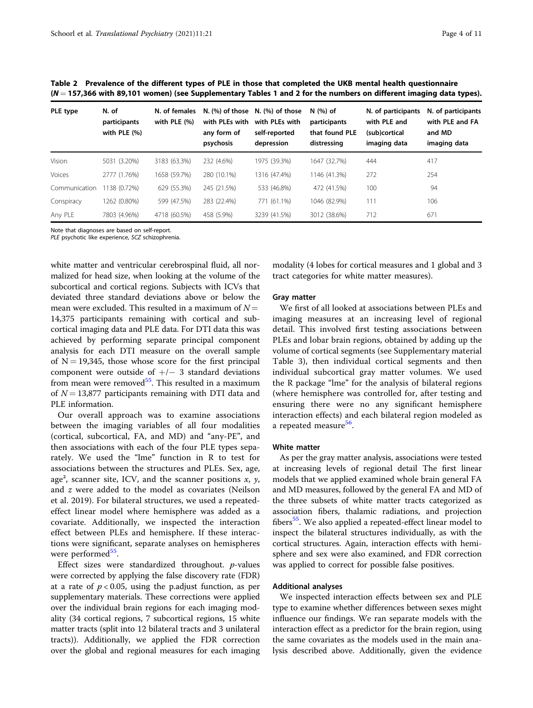<span id="page-4-0"></span>Table 2 Prevalence of the different types of PLE in those that completed the UKB mental health questionnaire  $(N = 157,366$  with 89,101 women) (see Supplementary Tables 1 and 2 for the numbers on different imaging data types).

| PLE type      | N. of<br>participants<br>with PLE $(% )$ | N. of females<br>with PLE (%) | with PLEs with<br>any form of<br>psychosis | N. $(\%)$ of those N. $(\%)$ of those<br>with PLEs with<br>self-reported<br>depression | $N$ $(%)$ of<br>participants<br>that found PLE<br>distressing | N. of participants<br>with PLE and<br>(sub)cortical<br>imaging data | N. of participants<br>with PLE and FA<br>and MD<br>imaging data |
|---------------|------------------------------------------|-------------------------------|--------------------------------------------|----------------------------------------------------------------------------------------|---------------------------------------------------------------|---------------------------------------------------------------------|-----------------------------------------------------------------|
| Vision        | 5031 (3.20%)                             | 3183 (63.3%)                  | 232 (4.6%)                                 | 1975 (39.3%)                                                                           | 1647 (32.7%)                                                  | 444                                                                 | 417                                                             |
| Voices        | 2777 (1.76%)                             | 1658 (59.7%)                  | 280 (10.1%)                                | 1316 (47.4%)                                                                           | 1146 (41.3%)                                                  | 272                                                                 | 254                                                             |
| Communication | 1138 (0.72%)                             | 629 (55.3%)                   | 245 (21.5%)                                | 533 (46.8%)                                                                            | 472 (41.5%)                                                   | 100                                                                 | 94                                                              |
| Conspiracy    | 1262 (0.80%)                             | 599 (47.5%)                   | 283 (22.4%)                                | 771 (61.1%)                                                                            | 1046 (82.9%)                                                  | 111                                                                 | 106                                                             |
| Any PLE       | 7803 (4.96%)                             | 4718 (60.5%)                  | 458 (5.9%)                                 | 3239 (41.5%)                                                                           | 3012 (38.6%)                                                  | 712                                                                 | 671                                                             |

Note that diagnoses are based on self-report.

PLE psychotic like experience, SCZ schizophrenia.

white matter and ventricular cerebrospinal fluid, all normalized for head size, when looking at the volume of the subcortical and cortical regions. Subjects with ICVs that deviated three standard deviations above or below the mean were excluded. This resulted in a maximum of  $N =$ 14,375 participants remaining with cortical and subcortical imaging data and PLE data. For DTI data this was achieved by performing separate principal component analysis for each DTI measure on the overall sample of  $N = 19,345$ , those whose score for the first principal component were outside of  $+/-$  3 standard deviations from mean were removed<sup>[55](#page-11-0)</sup>. This resulted in a maximum of  $N = 13,877$  participants remaining with DTI data and PLE information.

Our overall approach was to examine associations between the imaging variables of all four modalities (cortical, subcortical, FA, and MD) and "any-PE", and then associations with each of the four PLE types separately. We used the "lme" function in R to test for associations between the structures and PLEs. Sex, age, age<sup>2</sup>, scanner site, ICV, and the scanner positions  $x$ ,  $y$ , and z were added to the model as covariates (Neilson et al. 2019). For bilateral structures, we used a repeatedeffect linear model where hemisphere was added as a covariate. Additionally, we inspected the interaction effect between PLEs and hemisphere. If these interactions were significant, separate analyses on hemispheres were performed<sup>55</sup>.

Effect sizes were standardized throughout. p-values were corrected by applying the false discovery rate (FDR) at a rate of  $p < 0.05$ , using the p.adjust function, as per supplementary materials. These corrections were applied over the individual brain regions for each imaging modality (34 cortical regions, 7 subcortical regions, 15 white matter tracts (split into 12 bilateral tracts and 3 unilateral tracts)). Additionally, we applied the FDR correction over the global and regional measures for each imaging modality (4 lobes for cortical measures and 1 global and 3 tract categories for white matter measures).

#### Gray matter

We first of all looked at associations between PLEs and imaging measures at an increasing level of regional detail. This involved first testing associations between PLEs and lobar brain regions, obtained by adding up the volume of cortical segments (see Supplementary material Table 3), then individual cortical segments and then individual subcortical gray matter volumes. We used the R package "lme" for the analysis of bilateral regions (where hemisphere was controlled for, after testing and ensuring there were no any significant hemisphere interaction effects) and each bilateral region modeled as a repeated measure<sup>[56](#page-11-0)</sup>.

#### White matter

As per the gray matter analysis, associations were tested at increasing levels of regional detail The first linear models that we applied examined whole brain general FA and MD measures, followed by the general FA and MD of the three subsets of white matter tracts categorized as association fibers, thalamic radiations, and projection fibers<sup>[55](#page-11-0)</sup>. We also applied a repeated-effect linear model to inspect the bilateral structures individually, as with the cortical structures. Again, interaction effects with hemisphere and sex were also examined, and FDR correction was applied to correct for possible false positives.

#### Additional analyses

We inspected interaction effects between sex and PLE type to examine whether differences between sexes might influence our findings. We ran separate models with the interaction effect as a predictor for the brain region, using the same covariates as the models used in the main analysis described above. Additionally, given the evidence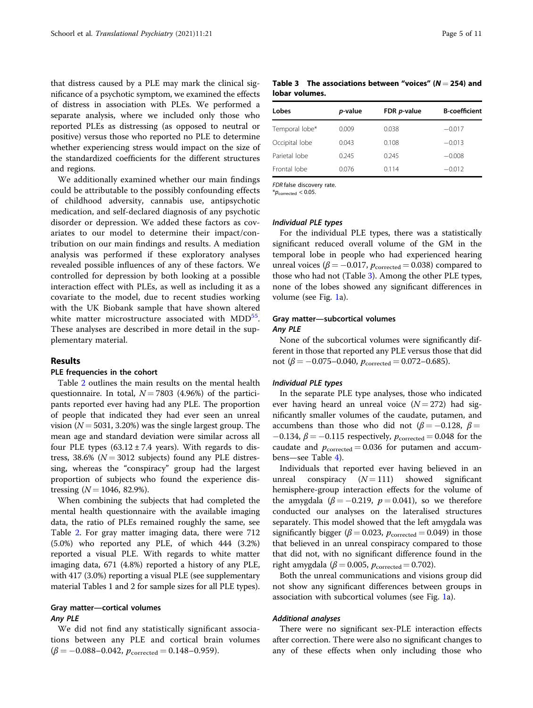that distress caused by a PLE may mark the clinical significance of a psychotic symptom, we examined the effects of distress in association with PLEs. We performed a separate analysis, where we included only those who reported PLEs as distressing (as opposed to neutral or positive) versus those who reported no PLE to determine whether experiencing stress would impact on the size of the standardized coefficients for the different structures and regions.

We additionally examined whether our main findings could be attributable to the possibly confounding effects of childhood adversity, cannabis use, antipsychotic medication, and self-declared diagnosis of any psychotic disorder or depression. We added these factors as covariates to our model to determine their impact/contribution on our main findings and results. A mediation analysis was performed if these exploratory analyses revealed possible influences of any of these factors. We controlled for depression by both looking at a possible interaction effect with PLEs, as well as including it as a covariate to the model, due to recent studies working with the UK Biobank sample that have shown altered white matter microstructure associated with MDD<sup>[55](#page-11-0)</sup>. These analyses are described in more detail in the supplementary material.

#### Results

#### PLE frequencies in the cohort

Table [2](#page-4-0) outlines the main results on the mental health questionnaire. In total,  $N = 7803$  (4.96%) of the participants reported ever having had any PLE. The proportion of people that indicated they had ever seen an unreal vision ( $N = 5031, 3.20\%$ ) was the single largest group. The mean age and standard deviation were similar across all four PLE types  $(63.12 \pm 7.4 \text{ years})$ . With regards to distress, 38.6% ( $N = 3012$  subjects) found any PLE distressing, whereas the "conspiracy" group had the largest proportion of subjects who found the experience distressing  $(N = 1046, 82.9\%).$ 

When combining the subjects that had completed the mental health questionnaire with the available imaging data, the ratio of PLEs remained roughly the same, see Table [2.](#page-4-0) For gray matter imaging data, there were 712 (5.0%) who reported any PLE, of which 444 (3.2%) reported a visual PLE. With regards to white matter imaging data, 671 (4.8%) reported a history of any PLE, with 417 (3.0%) reporting a visual PLE (see supplementary material Tables 1 and 2 for sample sizes for all PLE types).

### Gray matter—cortical volumes

#### Any PLE

We did not find any statistically significant associations between any PLE and cortical brain volumes  $(\beta = -0.088 - 0.042, p_{\text{corrected}} = 0.148 - 0.959).$ 

Table 3 The associations between "voices"  $(N = 254)$  and lobar volumes.

| Lobes          | p-value | FDR <i>p</i> -value | <b>B-coefficient</b> |
|----------------|---------|---------------------|----------------------|
| Temporal lobe* | 0.009   | 0.038               | $-0.017$             |
| Occipital lobe | 0.043   | 0.108               | $-0.013$             |
| Parietal lobe  | 0.245   | 0.245               | $-0.008$             |
| Frontal lobe   | 0.076   | 0.114               | $-0.012$             |

FDR false discovery rate.

 $*p_{\text{corrected}} < 0.05$ .

#### Individual PLE types

For the individual PLE types, there was a statistically significant reduced overall volume of the GM in the temporal lobe in people who had experienced hearing unreal voices ( $\beta = -0.017$ ,  $p_{\text{corrected}} = 0.038$ ) compared to those who had not (Table 3). Among the other PLE types, none of the lobes showed any significant differences in volume (see Fig. [1](#page-6-0)a).

#### Gray matter—subcortical volumes

#### Any PLE

None of the subcortical volumes were significantly different in those that reported any PLE versus those that did not ( $\beta = -0.075 - 0.040$ ,  $p_{\text{corrected}} = 0.072 - 0.685$ ).

#### Individual PLE types

In the separate PLE type analyses, those who indicated ever having heard an unreal voice  $(N = 272)$  had significantly smaller volumes of the caudate, putamen, and accumbens than those who did not ( $\beta = -0.128$ ,  $\beta =$  $-0.134$ ,  $\beta = -0.115$  respectively,  $p_{\text{corrected}} = 0.048$  for the caudate and  $p_{\text{corrected}} = 0.036$  for putamen and accumbens—see Table [4](#page-7-0)).

Individuals that reported ever having believed in an unreal conspiracy  $(N = 111)$  showed significant hemisphere-group interaction effects for the volume of the amygdala ( $\beta = -0.219$ ,  $p = 0.041$ ), so we therefore conducted our analyses on the lateralised structures separately. This model showed that the left amygdala was significantly bigger ( $\beta$  = 0.023,  $p_{\text{corrected}}$  = 0.049) in those that believed in an unreal conspiracy compared to those that did not, with no significant difference found in the right amygdala ( $\beta$  = 0.005,  $p_{\text{corrected}}$  = 0.702).

Both the unreal communications and visions group did not show any significant differences between groups in association with subcortical volumes (see Fig. [1](#page-6-0)a).

#### Additional analyses

There were no significant sex-PLE interaction effects after correction. There were also no significant changes to any of these effects when only including those who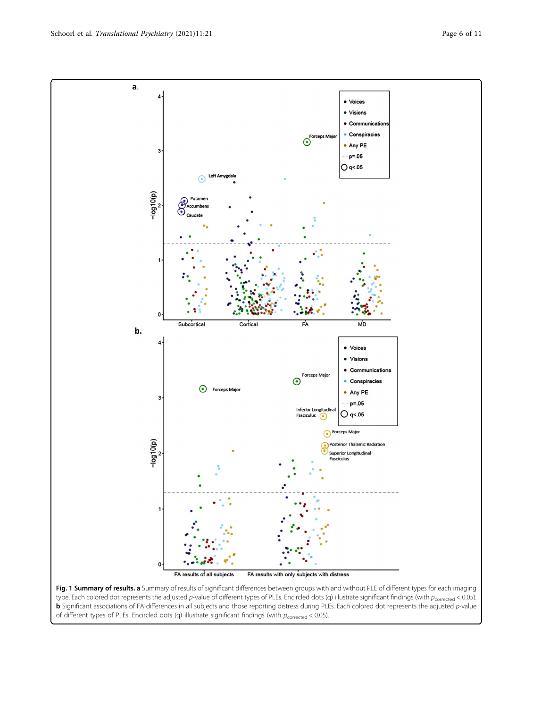Fig. 1 Summary of results. a Summary of results of significant differences between groups with and without PLE of different types for each imaging type. Each colored dot represents the adjusted p-value of different types of PLEs. Encircled dots (q) illustrate significant findings (with  $p_{\text{corrected}}$  < 0.05). b Significant associations of FA differences in all subjects and those reporting distress during PLEs. Each colored dot represents the adjusted p-value of different types of PLEs. Encircled dots (q) illustrate significant findings (with  $p_{\text{corrected}}$  < 0.05).

<span id="page-6-0"></span>

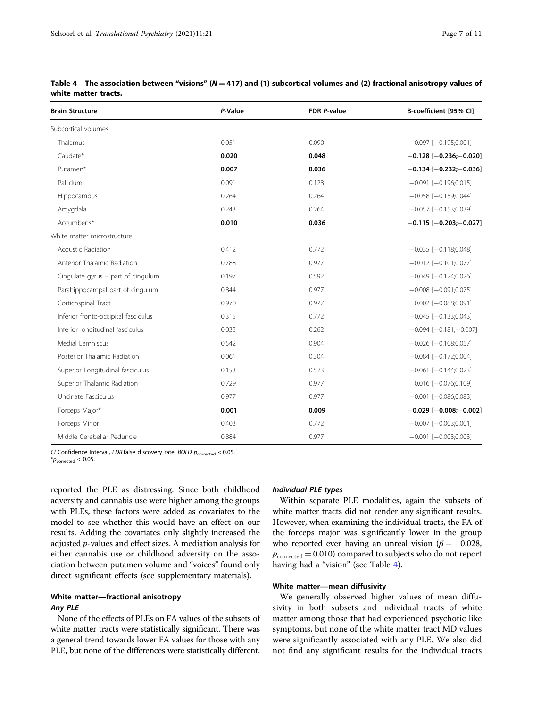| <b>Brain Structure</b>               | P-Value | FDR P-value | B-coefficient [95% CI]           |
|--------------------------------------|---------|-------------|----------------------------------|
| Subcortical volumes                  |         |             |                                  |
| Thalamus                             | 0.051   | 0.090       | $-0.097$ [ $-0.195;0.001$ ]      |
| Caudate*                             | 0.020   | 0.048       | $-0.128[-0.236; -0.020]$         |
| Putamen*                             | 0.007   | 0.036       | $-0.134[-0.232; -0.036]$         |
| Pallidum                             | 0.091   | 0.128       | $-0.091$ [ $-0.196;0.015$ ]      |
| Hippocampus                          | 0.264   | 0.264       | $-0.058$ [ $-0.159;0.044$ ]      |
| Amygdala                             | 0.243   | 0.264       | $-0.057$ [ $-0.153;0.039$ ]      |
| Accumbens*                           | 0.010   | 0.036       | $-0.115$ [ $-0.203$ ; $-0.027$ ] |
| White matter microstructure          |         |             |                                  |
| Acoustic Radiation                   | 0.412   | 0.772       | $-0.035$ [ $-0.118;0.048$ ]      |
| Anterior Thalamic Radiation          | 0.788   | 0.977       | $-0.012$ [ $-0.101;0.077$ ]      |
| Cingulate gyrus $-$ part of cingulum | 0.197   | 0.592       | $-0.049$ [ $-0.124;0.026$ ]      |
| Parahippocampal part of cingulum     | 0.844   | 0.977       | $-0.008$ [ $-0.091;0.075$ ]      |
| Corticospinal Tract                  | 0.970   | 0.977       | $0.002$ [-0.088;0.091]           |
| Inferior fronto-occipital fasciculus | 0.315   | 0.772       | $-0.045$ [ $-0.133;0.043$ ]      |
| Inferior longitudinal fasciculus     | 0.035   | 0.262       | $-0.094$ [ $-0.181$ ; $-0.007$ ] |
| Medial Lemniscus                     | 0.542   | 0.904       | $-0.026$ [ $-0.108;0.057$ ]      |
| Posterior Thalamic Radiation         | 0.061   | 0.304       | $-0.084$ [ $-0.172;0.004$ ]      |
| Superior Longitudinal fasciculus     | 0.153   | 0.573       | $-0.061$ [ $-0.144;0.023$ ]      |
| Superior Thalamic Radiation          | 0.729   | 0.977       | $0.016$ [ $-0.076;0.109$ ]       |
| Uncinate Fasciculus                  | 0.977   | 0.977       | $-0.001$ [ $-0.086;0.083$ ]      |
| Forceps Major*                       | 0.001   | 0.009       | $-0.029$ [ $-0.008$ ; $-0.002$ ] |
| Forceps Minor                        | 0.403   | 0.772       | $-0.007$ [ $-0.003;0.001$ ]      |
| Middle Cerebellar Peduncle           | 0.884   | 0.977       | $-0.001$ [ $-0.003;0.003$ ]      |

<span id="page-7-0"></span>

| Table 4 The association between "visions" ( $N = 417$ ) and (1) subcortical volumes and (2) fractional anisotropy values of |  |  |
|-----------------------------------------------------------------------------------------------------------------------------|--|--|
| white matter tracts.                                                                                                        |  |  |

CI Confidence Interval, FDR false discovery rate, BOLD  $p_{\text{corrected}} < 0.05$ .

 $*p_{\text{corrected}} < 0.05$ .

reported the PLE as distressing. Since both childhood adversity and cannabis use were higher among the groups with PLEs, these factors were added as covariates to the model to see whether this would have an effect on our results. Adding the covariates only slightly increased the adjusted p-values and effect sizes. A mediation analysis for either cannabis use or childhood adversity on the association between putamen volume and "voices" found only direct significant effects (see supplementary materials).

#### White matter—fractional anisotropy Any PLE

None of the effects of PLEs on FA values of the subsets of white matter tracts were statistically significant. There was a general trend towards lower FA values for those with any PLE, but none of the differences were statistically different.

#### Individual PLE types

Within separate PLE modalities, again the subsets of white matter tracts did not render any significant results. However, when examining the individual tracts, the FA of the forceps major was significantly lower in the group who reported ever having an unreal vision ( $\beta = -0.028$ ,  $p_{\text{corrected}} = 0.010$ ) compared to subjects who do not report having had a "vision" (see Table 4).

#### White matter—mean diffusivity

We generally observed higher values of mean diffusivity in both subsets and individual tracts of white matter among those that had experienced psychotic like symptoms, but none of the white matter tract MD values were significantly associated with any PLE. We also did not find any significant results for the individual tracts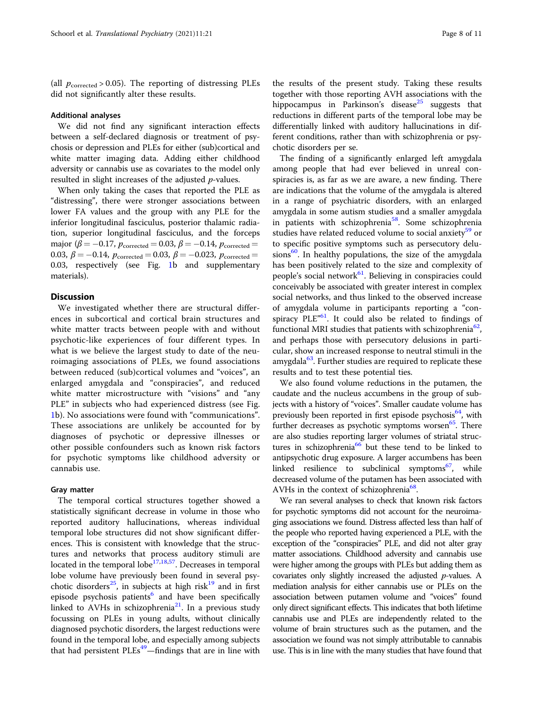(all  $p_{\text{corrected}} > 0.05$ ). The reporting of distressing PLEs did not significantly alter these results.

#### Additional analyses

We did not find any significant interaction effects between a self-declared diagnosis or treatment of psychosis or depression and PLEs for either (sub)cortical and white matter imaging data. Adding either childhood adversity or cannabis use as covariates to the model only resulted in slight increases of the adjusted  $p$ -values.

When only taking the cases that reported the PLE as "distressing", there were stronger associations between lower FA values and the group with any PLE for the inferior longitudinal fasciculus, posterior thalamic radiation, superior longitudinal fasciculus, and the forceps major ( $\beta = -0.17$ ,  $p_{\text{corrected}} = 0.03$ ,  $\beta = -0.14$ ,  $p_{\text{corrected}} =$ 0.03,  $\beta = -0.14$ ,  $p_{\text{corrected}} = 0.03$ ,  $\beta = -0.023$ ,  $p_{\text{corrected}} =$ 0.03, respectively (see Fig. [1](#page-6-0)b and supplementary materials).

#### **Discussion**

We investigated whether there are structural differences in subcortical and cortical brain structures and white matter tracts between people with and without psychotic-like experiences of four different types. In what is we believe the largest study to date of the neuroimaging associations of PLEs, we found associations between reduced (sub)cortical volumes and "voices", an enlarged amygdala and "conspiracies", and reduced white matter microstructure with "visions" and "any PLE" in subjects who had experienced distress (see Fig. [1b](#page-6-0)). No associations were found with "communications". These associations are unlikely be accounted for by diagnoses of psychotic or depressive illnesses or other possible confounders such as known risk factors for psychotic symptoms like childhood adversity or cannabis use.

#### Gray matter

The temporal cortical structures together showed a statistically significant decrease in volume in those who reported auditory hallucinations, whereas individual temporal lobe structures did not show significant differences. This is consistent with knowledge that the structures and networks that process auditory stimuli are located in the temporal lobe<sup>[17](#page-10-0),[18,](#page-10-0)57</sup>. Decreases in temporal lobe volume have previously been found in several psy-chotic disorders<sup>[25](#page-10-0)</sup>, in subjects at high risk<sup>19</sup> and in first episode psychosis patients<sup>[6](#page-10-0)</sup> and have been specifically linked to AVHs in schizophrenia $^{21}$ . In a previous study focussing on PLEs in young adults, without clinically diagnosed psychotic disorders, the largest reductions were found in the temporal lobe, and especially among subjects that had persistent PLEs<sup>[49](#page-11-0)</sup>—findings that are in line with

the results of the present study. Taking these results together with those reporting AVH associations with the hippocampus in Parkinson's disease<sup>[25](#page-10-0)</sup> suggests that reductions in different parts of the temporal lobe may be differentially linked with auditory hallucinations in different conditions, rather than with schizophrenia or psychotic disorders per se.

The finding of a significantly enlarged left amygdala among people that had ever believed in unreal conspiracies is, as far as we are aware, a new finding. There are indications that the volume of the amygdala is altered in a range of psychiatric disorders, with an enlarged amygdala in some autism studies and a smaller amygdala in patients with schizophrenia<sup>58</sup>. Some schizophrenia studies have related reduced volume to social anxiety<sup>[59](#page-11-0)</sup> or to specific positive symptoms such as persecutory delusions<sup>60</sup>. In healthy populations, the size of the amygdala has been positively related to the size and complexity of people's social network<sup>61</sup>. Believing in conspiracies could conceivably be associated with greater interest in complex social networks, and thus linked to the observed increase of amygdala volume in participants reporting a "con-spiracy PLE<sup>"[61](#page-11-0)</sup>. It could also be related to findings of functional MRI studies that patients with schizophrenia<sup>[62](#page-11-0)</sup>, and perhaps those with persecutory delusions in particular, show an increased response to neutral stimuli in the amygdala<sup>[63](#page-11-0)</sup>. Further studies are required to replicate these results and to test these potential ties.

We also found volume reductions in the putamen, the caudate and the nucleus accumbens in the group of subjects with a history of "voices". Smaller caudate volume has previously been reported in first episode psychosis $64$ , with further decreases as psychotic symptoms worsen $^{65}$ . There are also studies reporting larger volumes of striatal struc-tures in schizophrenia<sup>[66](#page-11-0)</sup> but these tend to be linked to antipsychotic drug exposure. A larger accumbens has been linked resilience to subclinical symptoms $67$ , while decreased volume of the putamen has been associated with AVHs in the context of schizophrenia<sup>68</sup>.

We ran several analyses to check that known risk factors for psychotic symptoms did not account for the neuroimaging associations we found. Distress affected less than half of the people who reported having experienced a PLE, with the exception of the "conspiracies" PLE, and did not alter gray matter associations. Childhood adversity and cannabis use were higher among the groups with PLEs but adding them as covariates only slightly increased the adjusted  $p$ -values. A mediation analysis for either cannabis use or PLEs on the association between putamen volume and "voices" found only direct significant effects. This indicates that both lifetime cannabis use and PLEs are independently related to the volume of brain structures such as the putamen, and the association we found was not simply attributable to cannabis use. This is in line with the many studies that have found that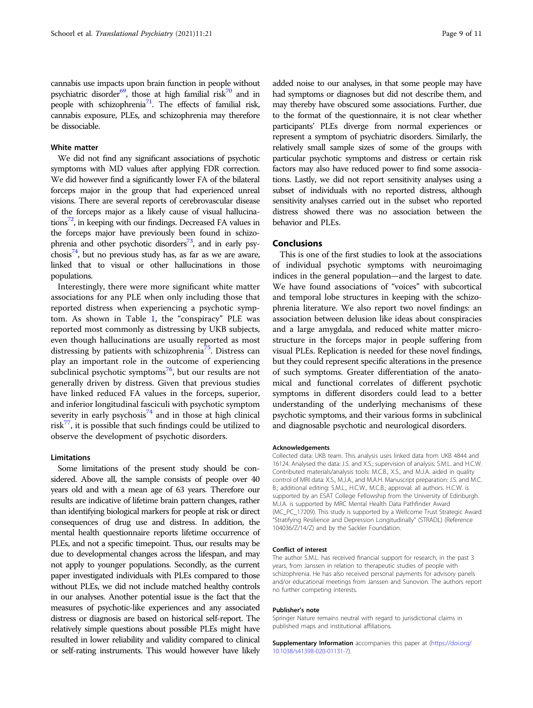#### White matter

We did not find any significant associations of psychotic symptoms with MD values after applying FDR correction. We did however find a significantly lower FA of the bilateral forceps major in the group that had experienced unreal visions. There are several reports of cerebrovascular disease of the forceps major as a likely cause of visual hallucinations $^{72}$ , in keeping with our findings. Decreased FA values in the forceps major have previously been found in schizo-phrenia and other psychotic disorders<sup>[73](#page-11-0)</sup>, and in early psychosis<sup>74</sup>, but no previous study has, as far as we are aware, linked that to visual or other hallucinations in those populations.

Interestingly, there were more significant white matter associations for any PLE when only including those that reported distress when experiencing a psychotic symptom. As shown in Table [1](#page-3-0), the "conspiracy" PLE was reported most commonly as distressing by UKB subjects, even though hallucinations are usually reported as most distressing by patients with schizophrenia<sup>75</sup>. Distress can play an important role in the outcome of experiencing subclinical psychotic symptoms $76$ , but our results are not generally driven by distress. Given that previous studies have linked reduced FA values in the forceps, superior, and inferior longitudinal fasciculi with psychotic symptom severity in early psychosis<sup>[74](#page-11-0)</sup> and in those at high clinical risk $77$ , it is possible that such findings could be utilized to observe the development of psychotic disorders.

#### Limitations

Some limitations of the present study should be considered. Above all, the sample consists of people over 40 years old and with a mean age of 63 years. Therefore our results are indicative of lifetime brain pattern changes, rather than identifying biological markers for people at risk or direct consequences of drug use and distress. In addition, the mental health questionnaire reports lifetime occurrence of PLEs, and not a specific timepoint. Thus, our results may be due to developmental changes across the lifespan, and may not apply to younger populations. Secondly, as the current paper investigated individuals with PLEs compared to those without PLEs, we did not include matched healthy controls in our analyses. Another potential issue is the fact that the measures of psychotic-like experiences and any associated distress or diagnosis are based on historical self-report. The relatively simple questions about possible PLEs might have resulted in lower reliability and validity compared to clinical or self-rating instruments. This would however have likely

added noise to our analyses, in that some people may have had symptoms or diagnoses but did not describe them, and may thereby have obscured some associations. Further, due to the format of the questionnaire, it is not clear whether participants' PLEs diverge from normal experiences or represent a symptom of psychiatric disorders. Similarly, the relatively small sample sizes of some of the groups with particular psychotic symptoms and distress or certain risk factors may also have reduced power to find some associations. Lastly, we did not report sensitivity analyses using a subset of individuals with no reported distress, although sensitivity analyses carried out in the subset who reported distress showed there was no association between the behavior and PLEs.

#### Conclusions

This is one of the first studies to look at the associations of individual psychotic symptoms with neuroimaging indices in the general population—and the largest to date. We have found associations of "voices" with subcortical and temporal lobe structures in keeping with the schizophrenia literature. We also report two novel findings: an association between delusion like ideas about conspiracies and a large amygdala, and reduced white matter microstructure in the forceps major in people suffering from visual PLEs. Replication is needed for these novel findings, but they could represent specific alterations in the presence of such symptoms. Greater differentiation of the anatomical and functional correlates of different psychotic symptoms in different disorders could lead to a better understanding of the underlying mechanisms of these psychotic symptoms, and their various forms in subclinical and diagnosable psychotic and neurological disorders.

#### Acknowledgements

Collected data: UKB team. This analysis uses linked data from UKB 4844 and 16124. Analysed the data: J.S. and X.S.; supervision of analysis: S.M.L. and H.C.W. Contributed materials/analysis tools: M.C.B., X.S., and M.J.A. aided in quality control of MRI data: X.S., M.J.A., and M.A.H. Manuscript preparation: J.S. and M.C. B.; additional editing: S.M.L., H.C.W., M.C.B.; approval: all authors. H.C.W. is supported by an ESAT College Fellowship from the University of Edinburgh. M.J.A. is supported by MRC Mental Health Data Pathfinder Award (MC\_PC\_17209). This study is supported by a Wellcome Trust Strategic Award "Stratifying Resilience and Depression Longitudinally" (STRADL) (Reference 104036/Z/14/Z) and by the Sackler Foundation.

#### Conflict of interest

The author S.M.L. has received financial support for research, in the past 3 years, from Janssen in relation to therapeutic studies of people with schizophrenia. He has also received personal payments for advisory panels and/or educational meetings from Janssen and Sunovion. The authors report no further competing interests.

#### Publisher's note

Springer Nature remains neutral with regard to jurisdictional claims in published maps and institutional affiliations.

Supplementary Information accompanies this paper at ([https://doi.org/](https://doi.org/10.1038/s41398-020-01131-7) [10.1038/s41398-020-01131-7](https://doi.org/10.1038/s41398-020-01131-7)).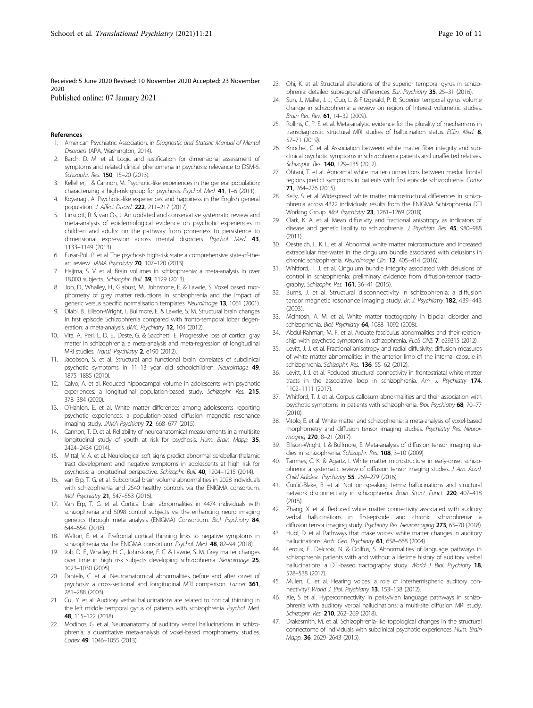<span id="page-10-0"></span>Received: 5 June 2020 Revised: 10 November 2020 Accepted: 23 November 2020

Published online: 07 January 2021

#### References

- 1. American Psychiatric Association. in Diagnostic and Statistic Manual of Mental Disorders (APA, Washington, 2014).
- 2. Barch, D. M. et al. Logic and justification for dimensional assessment of symptoms and related clinical phenomena in psychosis: relevance to DSM-5. Schizophr. Res. 150, 15-20 (2013).
- 3. Kelleher, I. & Cannon, M. Psychotic-like experiences in the general population: characterizing a high-risk group for psychosis. Psychol. Med. 41, 1-6 (2011).
- 4. Koyanagi, A. Psychotic-like experiences and happiness in the English general population. J. Affect Disord. 222, 211–217 (2017).
- 5. Linscott, R. & van Os, J. An updated and conservative systematic review and meta-analysis of epidemiological evidence on psychotic experiences in children and adults: on the pathway from proneness to persistence to dimensional expression across mental disorders. Psychol. Med. 43, 1133–1149 (2013).
- 6. Fusar-Poli, P. et al. The psychosis high-risk state: a comprehensive state-of-theart review. JAMA Psychiatry 70, 107-120 (2013).
- 7. Haijma, S. V. et al. Brain volumes in schizophrenia: a meta-analysis in over 18,000 subjects. Schizophr. Bull. 39, 1129 (2013).
- 8. Job, D., Whalley, H., Glabust, M., Johnstone, E. & Lawrie, S. Voxel based morphometry of grey matter reductions in schizophrenia and the impact of generic versus specific normalisation templates. Neuroimage 13, 1061 (2001).
- 9. Olabi, B., Ellison-Wright, I., Bullmore, E. & Lawrie, S. M. Structural brain changes in first episode Schizophrenia compared with fronto-temporal lobar degeneration: a meta-analysis. BMC Psychiatry 12, 104 (2012).
- 10. Vita, A., Peri, L. D. E., Deste, G. & Sacchetti, E. Progressive loss of cortical gray matter in schizophrenia: a meta-analysis and meta-regression of longitudinal MRI studies. Transl. Psychiatry 2, e190 (2012).
- 11. Jacobson, S. et al. Structural and functional brain correlates of subclinical psychotic symptoms in 11–13 year old schoolchildren. Neuroimage 49, 1875–1885 (2010).
- 12. Calvo, A. et al. Reduced hippocampal volume in adolescents with psychotic experiences: a longitudinal population-based study. Schizophr. Res. 215, 378–384 (2020).
- 13. O'Hanlon, E. et al. White matter differences among adolescents reporting psychotic experiences: a population-based diffusion magnetic resonance imaging study. JAMA Psychiatry 72, 668-677 (2015).
- 14. Cannon, T. D. et al. Reliability of neuroanatomical measurements in a multisite longitudinal study of youth at risk for psychosis. Hum. Brain Mapp. 35, 2424–2434 (2014).
- 15. Mittal, V. A. et al. Neurological soft signs predict abnormal cerebellar-thalamic tract development and negative symptoms in adolescents at high risk for psychosis: a longitudinal perspective. Schizophr. Bull. 40, 1204–1215 (2014).
- 16. van Erp, T. G. et al. Subcortical brain volume abnormalities in 2028 individuals with schizophrenia and 2540 healthy controls via the ENIGMA consortium. Mol. Psychiatry 21, 547–553 (2016).
- 17. Van Erp, T. G. et al. Cortical brain abnormalities in 4474 individuals with schizophrenia and 5098 control subjects via the enhancing neuro imaging genetics through meta analysis (ENIGMA) Consortium. Biol. Psychiatry 84, 644–654. (2018).
- 18. Walton, E. et al. Prefrontal cortical thinning links to negative symptoms in schizophrenia via the ENIGMA consortium. Psychol. Med. 48, 82-94 (2018).
- 19. Job, D. E., Whalley, H. C., Johnstone, E. C. & Lawrie, S. M. Grey matter changes over time in high risk subjects developing schizophrenia. Neuroimage 25, 1023–1030 (2005).
- 20. Pantelis, C. et al. Neuroanatomical abnormalities before and after onset of psychosis: a cross-sectional and longitudinal MRI comparison. Lancet 361, 281–288 (2003).
- 21. Cui, Y. et al. Auditory verbal hallucinations are related to cortical thinning in the left middle temporal gyrus of patients with schizophrenia. Psychol. Med. 48, 115–122 (2018).
- 22. Modinos, G. et al. Neuroanatomy of auditory verbal hallucinations in schizophrenia: a quantitative meta-analysis of voxel-based morphometry studies. Cortex 49, 1046–1055 (2013).
- 23. Ohi, K. et al. Structural alterations of the superior temporal gyrus in schizophrenia: detailed subregional differences. Eur. Psychiatry 35, 25–31 (2016).
- 24. Sun, J., Maller, J. J., Guo, L. & Fitzgerald, P. B. Superior temporal gyrus volume change in schizophrenia: a review on region of Interest volumetric studies. Brain Res. Rev. 61, 14–32 (2009).
- 25. Rollins, C. P. E. et al. Meta-analytic evidence for the plurality of mechanisms in transdiagnostic structural MRI studies of hallucination status. EClin. Med. 8, 57–71 (2019).
- 26. Knöchel, C. et al. Association between white matter fiber integrity and subclinical psychotic symptoms in schizophrenia patients and unaffected relatives. Schizophr. Res. 140, 129-135 (2012).
- 27. Ohtani, T. et al. Abnormal white matter connections between medial frontal regions predict symptoms in patients with first episode schizophrenia. Cortex 71, 264–276 (2015).
- 28. Kelly, S. et al. Widespread white matter microstructural differences in schizophrenia across 4322 individuals: results from the ENIGMA Schizophrenia DTI Working Group. Mol. Psychiatry 23, 1261–1269 (2018).
- 29. Clark, K. A. et al. Mean diffusivity and fractional anisotropy as indicators of disease and genetic liability to schizophrenia. J. Psychiatr. Res. 45, 980–988 (2011).
- 30. Oestreich, L. K. L. et al. Abnormal white matter microstructure and increased extracellular free-water in the cingulum bundle associated with delusions in chronic schizophrenia. NeuroImage Clin. 12, 405-414 (2016).
- 31. Whitford, T. J. et al. Cingulum bundle integrity associated with delusions of control in schizophrenia: preliminary evidence from diffusion-tensor tractography. Schizophr. Res. 161, 36-41 (2015).
- 32. Burns, J. et al. Structural disconnectivity in schizophrenia: a diffusion tensor magnetic resonance imaging study. Br. J. Psychiatry 182, 439-443  $(2003)$
- 33. McIntosh, A. M. et al. White matter tractography in bipolar disorder and schizophrenia. Biol. Psychiatry 64, 1088-1092 (2008).
- 34. Abdul-Rahman, M. F. et al. Arcuate fasciculus abnormalities and their relationship with psychotic symptoms in schizophrenia. PLoS ONE 7, e29315 (2012).
- 35. Levitt, J. J. et al. Fractional anisotropy and radial diffusivity: diffusion measures of white matter abnormalities in the anterior limb of the internal capsule in schizophrenia. Schizophr. Res. 136, 55-62 (2012).
- 36. Levitt, J. J. et al. Reduced structural connectivity in frontostriatal white matter tracts in the associative loop in schizophrenia. Am. J. Psychiatry 174, 1102–1111 (2017).
- 37. Whitford, T. J. et al. Corpus callosum abnormalities and their association with psychotic symptoms in patients with schizophrenia. Biol. Psychiatry 68, 70-77  $(2010)$
- 38. Vitolo, E. et al. White matter and schizophrenia: a meta-analysis of voxel-based morphometry and diffusion tensor imaging studies. Psychiatry Res. Neuroimaging 270, 8-21 (2017).
- 39. Ellison-Wright, I. & Bullmore, E. Meta-analysis of diffusion tensor imaging studies in schizophrenia. Schizophr. Res. 108, 3-10 (2009).
- 40. Tamnes, C. K. & Agartz, I. White matter microstructure in early-onset schizophrenia: a systematic review of diffusion tensor imaging studies. J. Am. Acad. Child Adolesc. Psychiatry 55, 269–279 (2016).
- 41. Ćurčić-Blake, B. et al. Not on speaking terms: hallucinations and structural network disconnectivity in schizophrenia. Brain Struct. Funct. 220, 407–418  $(2015)$
- 42. Zhang, X. et al. Reduced white matter connectivity associated with auditory verbal hallucinations in first-episode and chronic schizophrenia: a diffusion tensor imaging study. Psychiatry Res. Neuroimaging 273, 63-70 (2018).
- 43. Hubl, D. et al. Pathways that make voices: white matter changes in auditory hallucinations. Arch. Gen. Psychiatry 61, 658-668 (2004).
- 44. Leroux, E., Delcroix, N. & Dollfus, S. Abnormalities of language pathways in schizophrenia patients with and without a lifetime history of auditory verbal hallucinations: a DTI-based tractography study. World J. Biol. Psychiatry 18, 528–538 (2017).
- 45. Mulert, C. et al. Hearing voices: a role of interhemispheric auditory connectivity? World J. Biol. Psychiatry 13, 153-158 (2012).
- 46. Xie, S et al. Hyperconnectivity in perisylvian language pathways in schizophrenia with auditory verbal hallucinations: a multi-site diffusion MRI study. Schizophr. Res. 210, 262-269 (2018).
- 47. Drakesmith, M. et al. Schizophrenia‐like topological changes in the structural connectome of individuals with subclinical psychotic experiences. Hum. Brain Mapp. 36, 2629–2643 (2015).